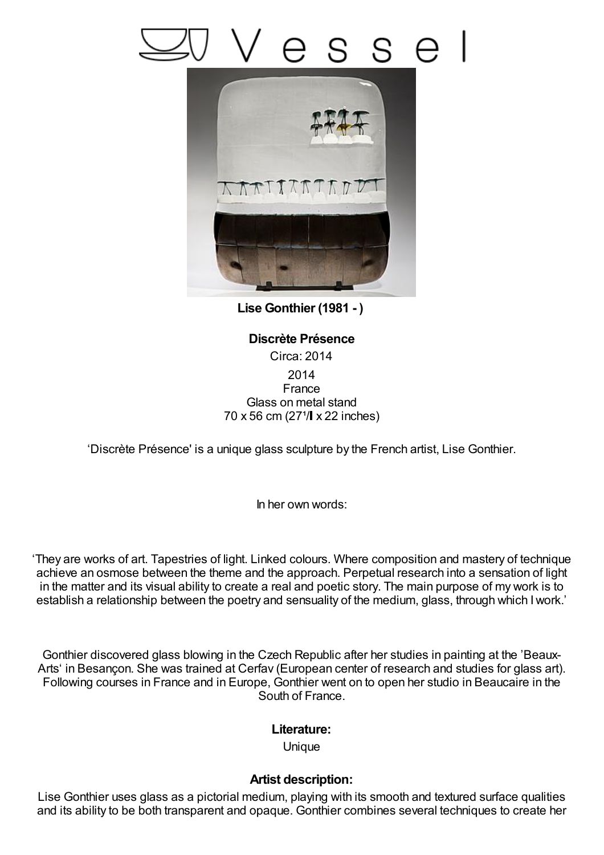## S



**Lise Gonthier (1981 - )**

## **Discrète Présence** Circa: 2014 2014 France Glass on metal stand  $70 \times 56$  cm (27<sup>1</sup>/ $\sqrt{22}$  inches)

'Discrète Présence' is a unique glass sculpture by the French artist, Lise Gonthier.

In her own words:

'They are works of art. Tapestries of light. Linked colours. Where composition and mastery of technique achieve an osmose between the theme and the approach. Perpetual research into a sensation of light in the matter and its visual ability to create a real and poetic story. The main purpose of my work is to establish a relationship between the poetry and sensuality of the medium, glass, through which Iwork.'

Gonthier discovered glass blowing in the Czech Republic after her studies in painting at the 'Beaux-Arts' in Besançon. She was trained at Cerfav (European center of research and studies for glass art). Following courses in France and in Europe, Gonthier went on to open her studio in Beaucaire in the South of France.

## **Literature:**

**Unique** 

## **Artist description:**

Lise Gonthier uses glass as a pictorial medium, playing with its smooth and textured surface qualities and its ability to be both transparent and opaque. Gonthier combines several techniques to create her